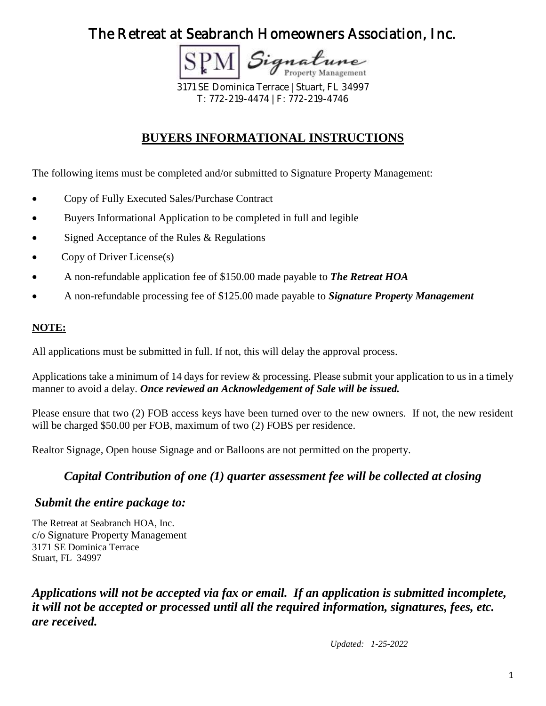**Property Management** 

3171 SE Dominica Terrace | Stuart, FL 34997 T: 772-219-4474 | F: 772-219-4746

## **BUYERS INFORMATIONAL INSTRUCTIONS**

The following items must be completed and/or submitted to Signature Property Management:

- Copy of Fully Executed Sales/Purchase Contract
- Buyers Informational Application to be completed in full and legible
- Signed Acceptance of the Rules & Regulations
- Copy of Driver License(s)
- A non-refundable application fee of \$150.00 made payable to *The Retreat HOA*
- A non-refundable processing fee of \$125.00 made payable to *Signature Property Management*

### **NOTE:**

All applications must be submitted in full. If not, this will delay the approval process.

Applications take a minimum of 14 days for review & processing. Please submit your application to us in a timely manner to avoid a delay. *Once reviewed an Acknowledgement of Sale will be issued.* 

Please ensure that two (2) FOB access keys have been turned over to the new owners. If not, the new resident will be charged \$50.00 per FOB, maximum of two (2) FOBS per residence.

Realtor Signage, Open house Signage and or Balloons are not permitted on the property.

### *Capital Contribution of one (1) quarter assessment fee will be collected at closing*

### *Submit the entire package to:*

The Retreat at Seabranch HOA, Inc. c/o Signature Property Management 3171 SE Dominica Terrace Stuart, FL 34997

*Applications will not be accepted via fax or email. If an application is submitted incomplete, it will not be accepted or processed until all the required information, signatures, fees, etc. are received.* 

*Updated: 1-25-2022*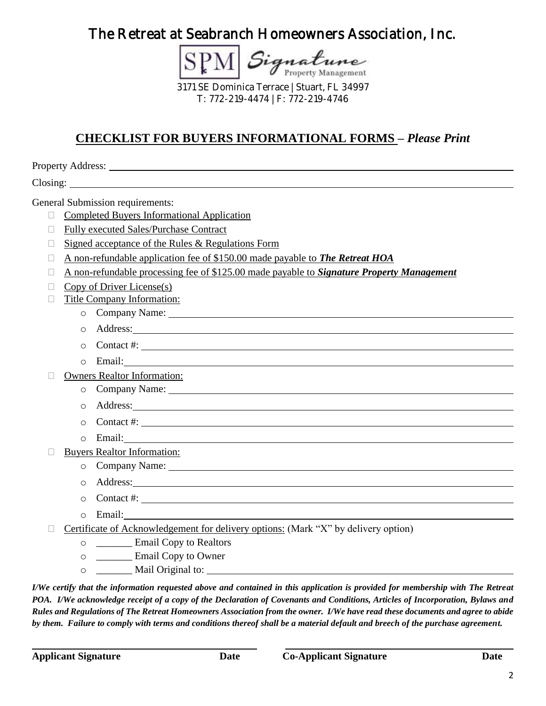SPM Signature

3171 SE Dominica Terrace | Stuart, FL 34997 T: 772-219-4474 | F: 772-219-4746

# **CHECKLIST FOR BUYERS INFORMATIONAL FORMS –** *Please Print*

Property Address: Universe of the Second Second Second Second Second Second Second Second Second Second Second Second Second Second Second Second Second Second Second Second Second Second Second Second Second Second Second

Closing:

General Submission requirements:

- **Completed Buyers Informational Application**
- □ Fully executed Sales/Purchase Contract
- $\Box$  Signed acceptance of the Rules & Regulations Form
- A non-refundable application fee of \$150.00 made payable to *The Retreat HOA*
- A non-refundable processing fee of \$125.00 made payable to *Signature Property Management*
- $\Box$  Copy of Driver License(s)
- □ Title Company Information:
	- o Company Name:
	- o Address:
	- $\circ$  Contact #:  $\_\_\_\_\_\_\_\_\_\_\_\_\_\_\_\_\_\_\_\_\_$
	- o Email:

Owners Realtor Information:

- o Company Name:
- o Address:
- o Contact #:
- o Email:
- □ Buyers Realtor Information:
	- o Company Name:
	- o Address:
	- $\circ$  Contact #:  $\qquad \qquad$
	- o Email:
- $\Box$  Certificate of Acknowledgement for delivery options: (Mark "X" by delivery option)
	- o \_\_\_\_\_\_\_ Email Copy to Realtors
	- o \_\_\_\_\_\_\_ Email Copy to Owner
	- o \_\_\_\_\_\_\_ Mail Original to:

*I/We certify that the information requested above and contained in this application is provided for membership with The Retreat POA. I/We acknowledge receipt of a copy of the Declaration of Covenants and Conditions, Articles of Incorporation, Bylaws and Rules and Regulations of The Retreat Homeowners Association from the owner. I/We have read these documents and agree to abide by them. Failure to comply with terms and conditions thereof shall be a material default and breech of the purchase agreement.*

l,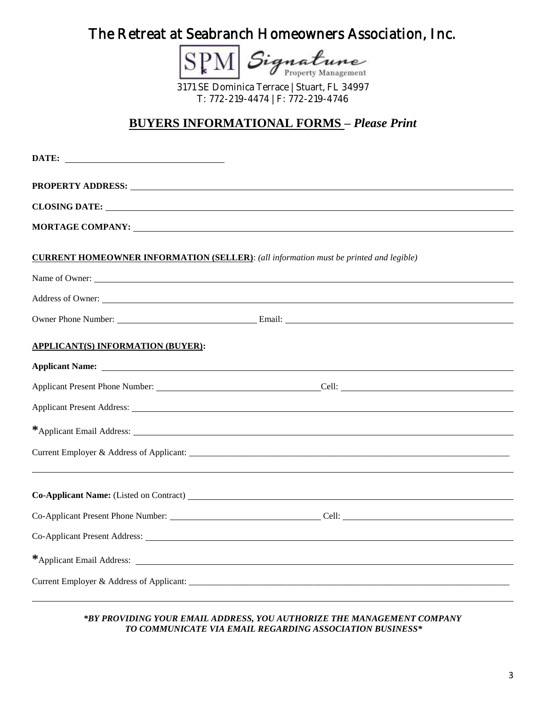Signatune **SPI** 

3171 SE Dominica Terrace | Stuart, FL 34997 T: 772-219-4474 | F: 772-219-4746

### **BUYERS INFORMATIONAL FORMS –** *Please Print*

| <b>CLOSING DATE:</b>                                                                                                                                                                                                                |
|-------------------------------------------------------------------------------------------------------------------------------------------------------------------------------------------------------------------------------------|
|                                                                                                                                                                                                                                     |
| <b>CURRENT HOMEOWNER INFORMATION (SELLER):</b> (all information must be printed and legible)                                                                                                                                        |
|                                                                                                                                                                                                                                     |
| Address of Owner:                                                                                                                                                                                                                   |
|                                                                                                                                                                                                                                     |
| <b>APPLICANT(S) INFORMATION (BUYER):</b>                                                                                                                                                                                            |
| <b>Applicant Name:</b> Applicant Name: Applicant Name: Applicant Name: Applicant Name: Applicant Name: Applicant Name: Applicant Name: Applicant Name: Applicant Name: Applicant Name: Applicant Name: Applicant Name: Applicant Na |
|                                                                                                                                                                                                                                     |
|                                                                                                                                                                                                                                     |
|                                                                                                                                                                                                                                     |
|                                                                                                                                                                                                                                     |
|                                                                                                                                                                                                                                     |
| Co-Applicant Present Phone Number: Co-Applicant Present Phone Number:                                                                                                                                                               |
|                                                                                                                                                                                                                                     |
|                                                                                                                                                                                                                                     |
|                                                                                                                                                                                                                                     |

#### *\*BY PROVIDING YOUR EMAIL ADDRESS, YOU AUTHORIZE THE MANAGEMENT COMPANY TO COMMUNICATE VIA EMAIL REGARDING ASSOCIATION BUSINESS\**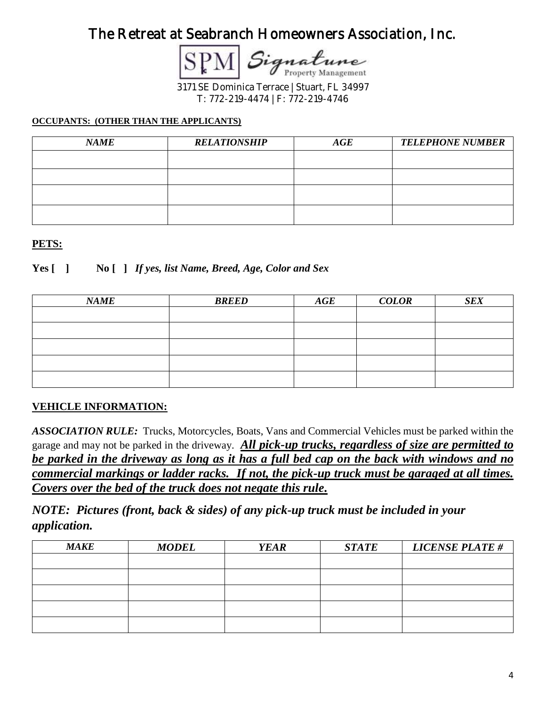3171 SE Dominica Terrace | Stuart, FL 34997 T: 772-219-4474 | F: 772-219-4746

#### **OCCUPANTS: (OTHER THAN THE APPLICANTS)**

| <b>NAME</b> | <b>RELATIONSHIP</b> | $\boldsymbol{AGE}$ | <b>TELEPHONE NUMBER</b> |
|-------------|---------------------|--------------------|-------------------------|
|             |                     |                    |                         |
|             |                     |                    |                         |
|             |                     |                    |                         |
|             |                     |                    |                         |

#### **PETS:**

**Yes [ ] No [ ]** *If yes, list Name, Breed, Age, Color and Sex*

| <b>NAME</b> | <b>BREED</b> | $\boldsymbol{AGE}$ | <b>COLOR</b> | <b>SEX</b> |
|-------------|--------------|--------------------|--------------|------------|
|             |              |                    |              |            |
|             |              |                    |              |            |
|             |              |                    |              |            |
|             |              |                    |              |            |
|             |              |                    |              |            |

#### **VEHICLE INFORMATION:**

*ASSOCIATION RULE:*Trucks, Motorcycles, Boats, Vans and Commercial Vehicles must be parked within the garage and may not be parked in the driveway. *All pick-up trucks, regardless of size are permitted to be parked in the driveway as long as it has a full bed cap on the back with windows and no commercial markings or ladder racks. If not, the pick-up truck must be garaged at all times. Covers over the bed of the truck does not negate this rule.*

*NOTE: Pictures (front, back & sides) of any pick-up truck must be included in your application.*

| <b>MAKE</b> | <b>MODEL</b> | <b>YEAR</b> | <b>STATE</b> | <b>LICENSE PLATE#</b> |
|-------------|--------------|-------------|--------------|-----------------------|
|             |              |             |              |                       |
|             |              |             |              |                       |
|             |              |             |              |                       |
|             |              |             |              |                       |
|             |              |             |              |                       |